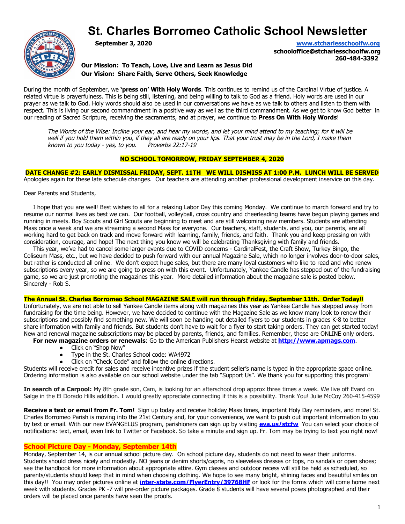# **St. Charles Borromeo Catholic School Newsletter**



**September 3, 2020 [www.stcharlesschoolfw.org](http://www.stcharlesschoolfw.org/)**

**schooloffice@stcharlesschoolfw.org 260-484-3392**

**Our Mission: To Teach, Love, Live and Learn as Jesus Did Our Vision: Share Faith, Serve Others, Seek Knowledge**

During the month of September, we **'press on' With Holy Words**. This continues to remind us of the Cardinal Virtue of justice. A related virtue is prayerfulness. This is being still, listening, and being willing to talk to God as a friend. Holy words are used in our prayer as we talk to God. Holy words should also be used in our conversations we have as we talk to others and listen to them with respect. This is living our second commandment in a positive way as well as the third commandment. As we get to know God better in our reading of Sacred Scripture, receiving the sacraments, and at prayer, we continue to **Press On With Holy Words**!

The Words of the Wise: Incline your ear, and hear my words, and let your mind attend to my teaching; for it will be well if you hold them within you, if they all are ready on your lips. That your trust may be in the Lord, I make them known to you today - yes, to you. Proverbs  $22:17-19$ 

### **NO SCHOOL TOMORROW, FRIDAY SEPTEMBER 4, 2020**

**DATE CHANGE #2: EARLY DISMISSAL FRIDAY, SEPT. 11TH WE WILL DISMISS AT 1:00 P.M. LUNCH WILL BE SERVED** Apologies again for these late schedule changes. Our teachers are attending another professional development inservice on this day.

Dear Parents and Students,

 I hope that you are well! Best wishes to all for a relaxing Labor Day this coming Monday. We continue to march forward and try to resume our normal lives as best we can. Our football, volleyball, cross country and cheerleading teams have begun playing games and running in meets. Boy Scouts and Girl Scouts are beginning to meet and are still welcoming new members. Students are attending Mass once a week and we are streaming a second Mass for everyone. Our teachers, staff, students, and you, our parents, are all working hard to get back on track and move forward with learning, family, friends, and faith. Thank you and keep pressing on with consideration, courage, and hope! The next thing you know we will be celebrating Thanksgiving with family and friends.

 This year, we've had to cancel some larger events due to COVID concerns - CardinalFest, the Craft Show, Turkey Bingo, the Coliseum Mass, etc., but we have decided to push forward with our annual Magazine Sale, which no longer involves door-to-door sales, but rather is conducted all online. We don't expect huge sales, but there are many loyal customers who like to read and who renew subscriptions every year, so we are going to press on with this event. Unfortunately, Yankee Candle has stepped out of the fundraising game, so we are just promoting the magazines this year. More detailed information about the magazine sale is posted below. Sincerely - Rob S.

#### **The Annual St. Charles Borromeo School MAGAZINE SALE will run through Friday, September 11th. Order Today!!**

Unfortunately, we are not able to sell Yankee Candle items along with magazines this year as Yankee Candle has stepped away from fundraising for the time being. However, we have decided to continue with the Magazine Sale as we know many look to renew their subscriptions and possibly find something new. We will soon be handing out detailed flyers to our students in grades K-8 to better share information with family and friends. But students don't have to wait for a flyer to start taking orders. They can get started today! New and renewal magazine subscriptions may be placed by parents, friends, and families. Remember, these are ONLINE only orders.

**For new magazine orders or renewals**: Go to the American Publishers Hearst website at **[http://www.apmags.com](http://www.apmags.com/)**.

- Click on "Shop Now"
- Type in the St. Charles School code: WA4972
- Click on "Check Code" and follow the online directions.

Students will receive credit for sales and receive incentive prizes if the student seller's name is typed in the appropriate space online. Ordering information is also available on our school website under the tab "Support Us". We thank you for supporting this program!

In search of a Carpool: My 8th grade son, Cam, is looking for an afterschool drop approx three times a week. We live off Evard on Salge in the El Dorado Hills addition. I would greatly appreciate connecting if this is a possibility. Thank You! Julie McCoy 260-415-4599

**Receive a text or email from Fr. Tom!** Sign up today and receive holiday Mass times, important Holy Day reminders, and more! St. Charles Borromeo Parish is moving into the 21st Century and, for your convenience, we want to push out important information to you by text or email. With our new EVANGELUS program, parishioners can sign up by visiting **[eva.us/stcfw](https://eva.diocesan.com/invitation/organization/7371925b2018b84b9529158dfd450b2c23ca93c6)** You can select your choice of notifications: text, email, even link to Twitter or Facebook. So take a minute and sign up. Fr. Tom may be trying to text you right now!

### **School Picture Day - Monday, September 14th**

Monday, September 14, is our annual school picture day. On school picture day, students do not need to wear their uniforms. Students should dress nicely and modestly. NO jeans or denim shorts/capris, no sleeveless dresses or tops, no sandals or open shoes; see the handbook for more information about appropriate attire. Gym classes and outdoor recess will still be held as scheduled, so parents/students should keep that in mind when choosing clothing. We hope to see many bright, shining faces and beautiful smiles on this day!! You may order pictures online at **[inter-state.com/FlyerEntry/39768HF](https://inter-state.us8.list-manage.com/track/click?u=86bf98013aa8c9ab0f4f283a9&id=4b059cee34&e=9af57ed97b)** or look for the forms which will come home next week with students. Grades PK -7 will pre-order picture packages. Grade 8 students will have several poses photographed and their orders will be placed once parents have seen the proofs.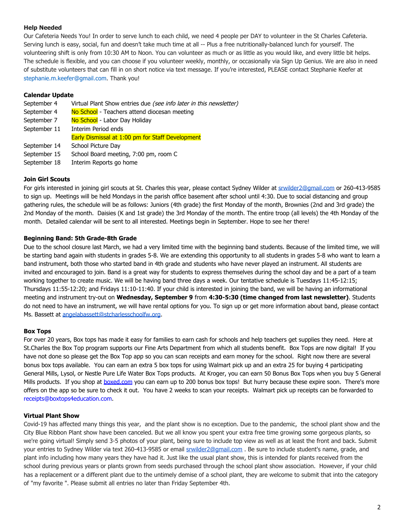# **Help Needed**

Our Cafeteria Needs You! In order to serve lunch to each child, we need 4 people per DAY to volunteer in the St Charles Cafeteria. Serving lunch is easy, social, fun and doesn't take much time at all -- Plus a free nutritionally-balanced lunch for yourself. The volunteering shift is only from 10:30 AM to Noon. You can volunteer as much or as little as you would like, and every little bit helps. The schedule is flexible, and you can choose if you volunteer weekly, monthly, or occasionally via Sign Up Genius. We are also in need of substitute volunteers that can fill in on short notice via text message. If you're interested, PLEASE contact Stephanie Keefer at stephanie.m.keefer@gmail.com. Thank you!

## **Calendar Update**

| September 4  | Virtual Plant Show entries due (see info later in this newsletter) |  |  |  |
|--------------|--------------------------------------------------------------------|--|--|--|
| September 4  | No School - Teachers attend diocesan meeting                       |  |  |  |
| September 7  | No School - Labor Day Holiday                                      |  |  |  |
| September 11 | Interim Period ends                                                |  |  |  |
|              | Early Dismissal at 1:00 pm for Staff Development                   |  |  |  |
| September 14 | School Picture Day                                                 |  |  |  |
| September 15 | School Board meeting, 7:00 pm, room C                              |  |  |  |
| September 18 | Interim Reports go home                                            |  |  |  |
|              |                                                                    |  |  |  |

### **Join Girl Scouts**

For girls interested in joining girl scouts at St. Charles this year, please contact Sydney Wilder at [srwilder2@gmail.com](mailto:srwilder2@gmail.com) or 260-413-9585 to sign up. Meetings will be held Mondays in the parish office basement after school until 4:30. Due to social distancing and group gathering rules, the schedule will be as follows: Juniors (4th grade) the first Monday of the month, Brownies (2nd and 3rd grade) the 2nd Monday of the month. Daisies (K and 1st grade) the 3rd Monday of the month. The entire troop (all levels) the 4th Monday of the month. Detailed calendar will be sent to all interested. Meetings begin in September. Hope to see her there!

# **Beginning Band: 5th Grade-8th Grade**

Due to the school closure last March, we had a very limited time with the beginning band students. Because of the limited time, we will be starting band again with students in grades 5-8. We are extending this opportunity to all students in grades 5-8 who want to learn a band instrument, both those who started band in 4th grade and students who have never played an instrument. All students are invited and encouraged to join. Band is a great way for students to express themselves during the school day and be a part of a team working together to create music. We will be having band three days a week. Our tentative schedule is Tuesdays 11:45-12:15; Thursdays 11:55-12:20; and Fridays 11:10-11:40. If your child is interested in joining the band, we will be having an informational meeting and instrument try-out on **Wednesday, September 9** from **4:30-5:30 (time changed from last newsletter)**. Students do not need to have an instrument, we will have rental options for you. To sign up or get more information about band, please contact Ms. Bassett at [angelabassett@stcharlesschoolfw.org.](mailto:angelabassett@stcharlesschoolfw.org)

### **Box Tops**

For over 20 years, Box tops has made it easy for families to earn cash for schools and help teachers get supplies they need. Here at St.Charles the Box Top program supports our Fine Arts Department from which all students benefit. Box Tops are now digital! If you have not done so please get the Box Top app so you can scan receipts and earn money for the school. Right now there are several bonus box tops available. You can earn an extra 5 box tops for using Walmart pick up and an extra 25 for buying 4 participating General Mills, Lysol, or Nestle Pure Life Water Box Tops products. At Kroger, you can earn 50 Bonus Box Tops when you buy 5 General Mills products. If you shop at **[boxed.com](http://boxed.com/)** you can earn up to 200 bonus box tops! But hurry because these expire soon. There's more offers on the app so be sure to check it out. You have 2 weeks to scan your receipts. Walmart pick up receipts can be forwarded to receipts@boxtops4education.com.

### **Virtual Plant Show**

Covid-19 has affected many things this year, and the plant show is no exception. Due to the pandemic, the school plant show and the City Blue Ribbon Plant show have been canceled. But we all know you spent your extra free time growing some gorgeous plants, so we're going virtual! Simply send 3-5 photos of your plant, being sure to include top view as well as at least the front and back. Submit your entries to Sydney Wilder via text 260-413-9585 or email srwilder2@gmail.com. Be sure to include student's name, grade, and plant info including how many years they have had it. Just like the usual plant show, this is intended for plants received from the school during previous years or plants grown from seeds purchased through the school plant show association. However, if your child has a replacement or a different plant due to the untimely demise of a school plant, they are welcome to submit that into the category of "my favorite ". Please submit all entries no later than Friday September 4th.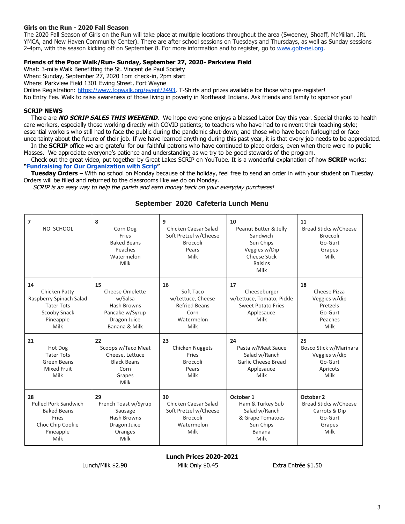#### **Girls on the Run - 2020 Fall Season**

The 2020 Fall Season of Girls on the Run will take place at multiple locations throughout the area (Sweeney, Shoaff, McMillan, JRL YMCA, and New Haven Community Center). There are after school sessions on Tuesdays and Thursdays, as well as Sunday sessions 2-4pm, with the season kicking off on September 8. For more information and to register, go to [www.gotr-nei.org.](http://www.gotr-nei.org/)

#### **Friends of the Poor Walk/Run- Sunday, September 27, 2020- Parkview Field**

What: 3-mile Walk Benefitting the St. Vincent de Paul Society

When: Sunday, September 27, 2020 1pm check-in, 2pm start

Where: Parkview Field 1301 Ewing Street, Fort Wayne

Online Registration: [https://www.fopwalk.org/event/2493.](https://www.fopwalk.org/event/2493) T-Shirts and prizes available for those who pre-register!

No Entry Fee. Walk to raise awareness of those living in poverty in Northeast Indiana. Ask friends and family to sponsor you!

#### **SCRIP NEWS**

 There are **NO SCRIP SALES THIS WEEKEND**. We hope everyone enjoys a blessed Labor Day this year. Special thanks to health care workers, especially those working directly with COVID patients; to teachers who have had to reinvent their teaching style; essential workers who still had to face the public during the pandemic shut-down; and those who have been furloughed or face uncertainty about the future of their job. If we have learned anything during this past year, it is that every job needs to be appreciated.

 In the **SCRIP** office we are grateful for our faithful patrons who have continued to place orders, even when there were no public Masses. We appreciate everyone's patience and understanding as we try to be good stewards of the program.

 Check out the great video, put together by Great Lakes SCRIP on YouTube. It is a wonderful explanation of how **SCRIP** works: **["Fundraising for Our Organization with Scrip"](https://www.youtube.com/watch?v=IrL93iYWlhA)**

 **Tuesday Orders** – With no school on Monday because of the holiday, feel free to send an order in with your student on Tuesday. Orders will be filled and returned to the classrooms like we do on Monday.

SCRIP is an easy way to help the parish and earn money back on your everyday purchases!

| $\overline{7}$<br>NO SCHOOL                                                                               | 8<br>Corn Dog<br>Fries<br><b>Baked Beans</b><br>Peaches<br>Watermelon<br>Milk                       | 9<br>Chicken Caesar Salad<br>Soft Pretzel w/Cheese<br><b>Broccoli</b><br>Pears<br>Milk       | 10<br>Peanut Butter & Jelly<br>Sandwich<br>Sun Chips<br>Veggies w/Dip<br><b>Cheese Stick</b><br>Raisins<br>Milk | 11<br>Bread Sticks w/Cheese<br><b>Broccoli</b><br>Go-Gurt<br>Grapes<br>Milk      |
|-----------------------------------------------------------------------------------------------------------|-----------------------------------------------------------------------------------------------------|----------------------------------------------------------------------------------------------|-----------------------------------------------------------------------------------------------------------------|----------------------------------------------------------------------------------|
| 14<br>Chicken Patty<br>Raspberry Spinach Salad<br><b>Tater Tots</b><br>Scooby Snack<br>Pineapple<br>Milk  | 15<br>Cheese Omelette<br>w/Salsa<br>Hash Browns<br>Pancake w/Syrup<br>Dragon Juice<br>Banana & Milk | 16<br>Soft Taco<br>w/Lettuce, Cheese<br><b>Refried Beans</b><br>Corn<br>Watermelon<br>Milk   | 17<br>Cheeseburger<br>w/Lettuce, Tomato, Pickle<br><b>Sweet Potato Fries</b><br>Applesauce<br>Milk              | 18<br>Cheese Pizza<br>Veggies w/dip<br>Pretzels<br>Go-Gurt<br>Peaches<br>Milk    |
| 21<br>Hot Dog<br><b>Tater Tots</b><br>Green Beans<br><b>Mixed Fruit</b><br>Milk                           | 22<br>Scoops w/Taco Meat<br>Cheese, Lettuce<br><b>Black Beans</b><br>Corn<br>Grapes<br>Milk         | 23<br><b>Chicken Nuggets</b><br>Fries<br><b>Broccoli</b><br>Pears<br>Milk                    | 24<br>Pasta w/Meat Sauce<br>Salad w/Ranch<br>Garlic Cheese Bread<br>Applesauce<br>Milk                          | 25<br>Bosco Stick w/Marinara<br>Veggies w/dip<br>Go-Gurt<br>Apricots<br>Milk     |
| 28<br><b>Pulled Pork Sandwich</b><br><b>Baked Beans</b><br>Fries<br>Choc Chip Cookie<br>Pineapple<br>Milk | 29<br>French Toast w/Syrup<br>Sausage<br>Hash Browns<br>Dragon Juice<br>Oranges<br>Milk             | 30<br>Chicken Caesar Salad<br>Soft Pretzel w/Cheese<br><b>Broccoli</b><br>Watermelon<br>Milk | October 1<br>Ham & Turkey Sub<br>Salad w/Ranch<br>& Grape Tomatoes<br>Sun Chips<br><b>Banana</b><br>Milk        | October 2<br>Bread Sticks w/Cheese<br>Carrots & Dip<br>Go-Gurt<br>Grapes<br>Milk |

### **September 2020 Cafeteria Lunch Menu**

**Lunch Prices 2020-2021**

Lunch/Milk \$2.90 Milk Only \$0.45 Extra Entrée \$1.50